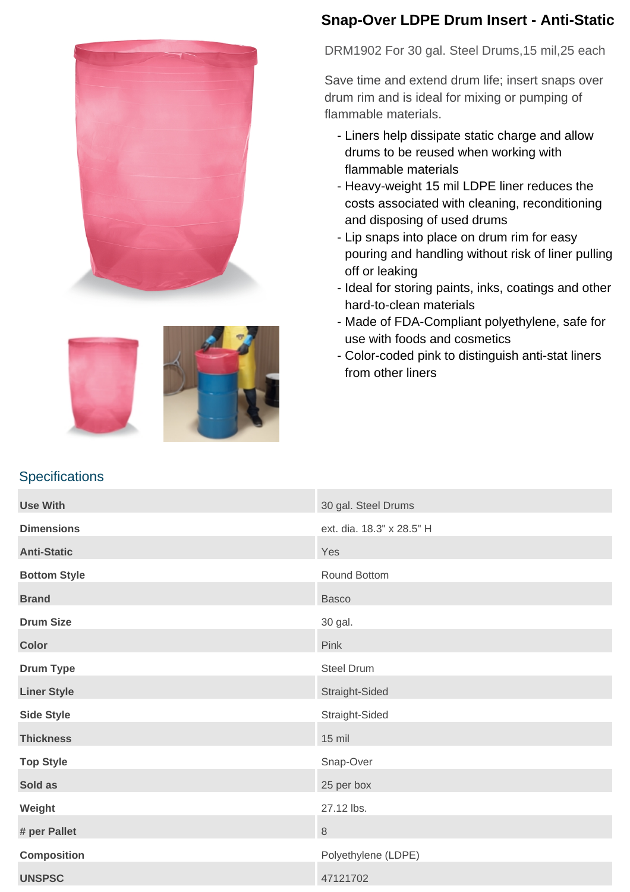



## **Snap-Over LDPE Drum Insert - Anti-Static**

DRM1902 For 30 gal. Steel Drums,15 mil,25 each

Save time and extend drum life; insert snaps over drum rim and is ideal for mixing or pumping of flammable materials.

- Liners help dissipate static charge and allow drums to be reused when working with flammable materials
- Heavy-weight 15 mil LDPE liner reduces the costs associated with cleaning, reconditioning and disposing of used drums
- Lip snaps into place on drum rim for easy pouring and handling without risk of liner pulling off or leaking
- Ideal for storing paints, inks, coatings and other hard-to-clean materials
- Made of FDA-Compliant polyethylene, safe for use with foods and cosmetics
- Color-coded pink to distinguish anti-stat liners from other liners

## **Specifications**

| <b>Use With</b>     | 30 gal. Steel Drums       |
|---------------------|---------------------------|
| <b>Dimensions</b>   | ext. dia. 18.3" x 28.5" H |
| <b>Anti-Static</b>  | Yes                       |
| <b>Bottom Style</b> | Round Bottom              |
| <b>Brand</b>        | <b>Basco</b>              |
| <b>Drum Size</b>    | 30 gal.                   |
| <b>Color</b>        | Pink                      |
| <b>Drum Type</b>    | <b>Steel Drum</b>         |
| <b>Liner Style</b>  | Straight-Sided            |
| <b>Side Style</b>   | Straight-Sided            |
| <b>Thickness</b>    | $15$ mil                  |
| <b>Top Style</b>    | Snap-Over                 |
| Sold as             | 25 per box                |
| Weight              | 27.12 lbs.                |
| # per Pallet        | $\,8\,$                   |
| <b>Composition</b>  | Polyethylene (LDPE)       |
| <b>UNSPSC</b>       | 47121702                  |